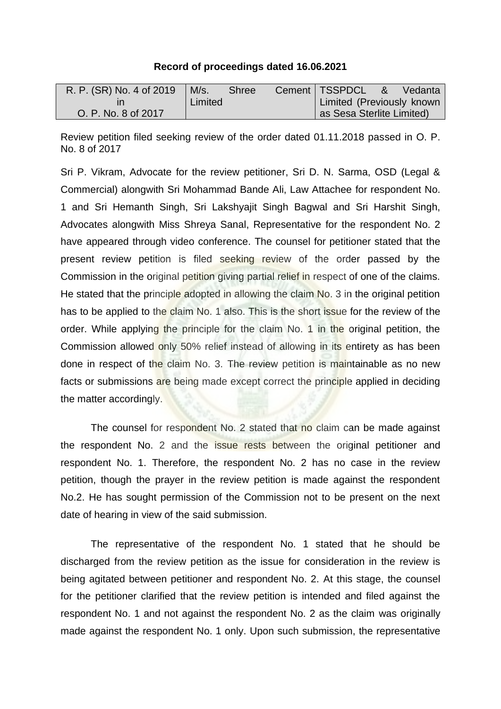## **Record of proceedings dated 16.06.2021**

| R. P. (SR) No. 4 of 2019 | $1$ M/s. | Shree | Cement   TSSPDCL                  | $-8$ | Vedanta |
|--------------------------|----------|-------|-----------------------------------|------|---------|
|                          | Limited  |       | <b>Limited (Previously known)</b> |      |         |
| O. P. No. 8 of 2017      |          |       | as Sesa Sterlite Limited)         |      |         |

Review petition filed seeking review of the order dated 01.11.2018 passed in O. P. No. 8 of 2017

Sri P. Vikram, Advocate for the review petitioner, Sri D. N. Sarma, OSD (Legal & Commercial) alongwith Sri Mohammad Bande Ali, Law Attachee for respondent No. 1 and Sri Hemanth Singh, Sri Lakshyajit Singh Bagwal and Sri Harshit Singh, Advocates alongwith Miss Shreya Sanal, Representative for the respondent No. 2 have appeared through video conference. The counsel for petitioner stated that the present review petition is filed seeking review of the order passed by the Commission in the original petition giving partial relief in respect of one of the claims. He stated that the principle adopted in allowing the claim No. 3 in the original petition has to be applied to the claim No. 1 also. This is the short issue for the review of the order. While applying the principle for the claim No. 1 in the original petition, the Commission allowed only 50% relief instead of allowing in its entirety as has been done in respect of the claim No. 3. The review petition is maintainable as no new facts or submissions are being made except correct the principle applied in deciding the matter accordingly.

The counsel for respondent No. 2 stated that no claim can be made against the respondent No. 2 and the issue rests between the original petitioner and respondent No. 1. Therefore, the respondent No. 2 has no case in the review petition, though the prayer in the review petition is made against the respondent No.2. He has sought permission of the Commission not to be present on the next date of hearing in view of the said submission.

The representative of the respondent No. 1 stated that he should be discharged from the review petition as the issue for consideration in the review is being agitated between petitioner and respondent No. 2. At this stage, the counsel for the petitioner clarified that the review petition is intended and filed against the respondent No. 1 and not against the respondent No. 2 as the claim was originally made against the respondent No. 1 only. Upon such submission, the representative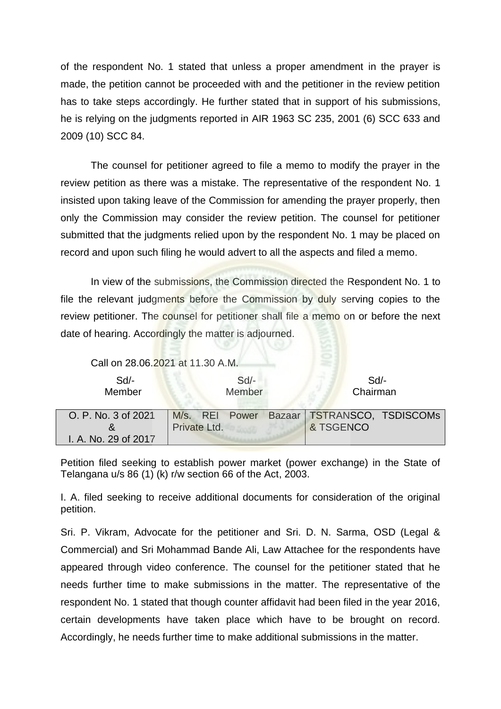of the respondent No. 1 stated that unless a proper amendment in the prayer is made, the petition cannot be proceeded with and the petitioner in the review petition has to take steps accordingly. He further stated that in support of his submissions, he is relying on the judgments reported in AIR 1963 SC 235, 2001 (6) SCC 633 and 2009 (10) SCC 84.

The counsel for petitioner agreed to file a memo to modify the prayer in the review petition as there was a mistake. The representative of the respondent No. 1 insisted upon taking leave of the Commission for amending the prayer properly, then only the Commission may consider the review petition. The counsel for petitioner submitted that the judgments relied upon by the respondent No. 1 may be placed on record and upon such filing he would advert to all the aspects and filed a memo.

In view of the submissions, the Commission directed the Respondent No. 1 to file the relevant judgments before the Commission by duly serving copies to the review petitioner. The counsel for petitioner shall file a memo on or before the next date of hearing. Accordingly the matter is adjourned.

| Call on 28.06.2021 at 11.30 A.M. |                |                               |
|----------------------------------|----------------|-------------------------------|
| $Sd$ -                           | $Sd$ -         | Sd                            |
| Member                           | Member         | Chairman                      |
| O. P. No. 3 of 2021              | M/s. REI Power | Bazaar   TSTRANSCO, TSDISCOMs |
| I. A. No. 29 of 2017             | Private Ltd.   | & TSGENCO                     |

Petition filed seeking to establish power market (power exchange) in the State of Telangana u/s 86 (1) (k) r/w section 66 of the Act, 2003.

I. A. filed seeking to receive additional documents for consideration of the original petition.

Sri. P. Vikram, Advocate for the petitioner and Sri. D. N. Sarma, OSD (Legal & Commercial) and Sri Mohammad Bande Ali, Law Attachee for the respondents have appeared through video conference. The counsel for the petitioner stated that he needs further time to make submissions in the matter. The representative of the respondent No. 1 stated that though counter affidavit had been filed in the year 2016, certain developments have taken place which have to be brought on record. Accordingly, he needs further time to make additional submissions in the matter.